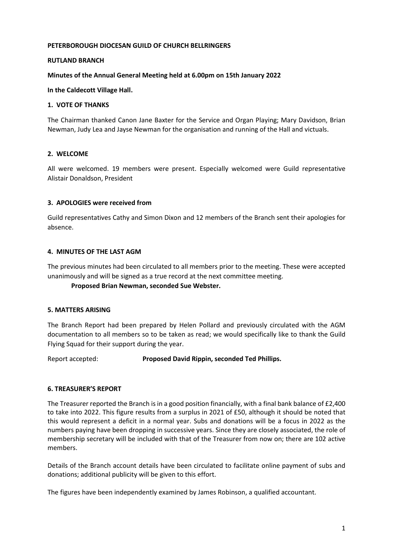## **PETERBOROUGH DIOCESAN GUILD OF CHURCH BELLRINGERS**

### **RUTLAND BRANCH**

### **Minutes of the Annual General Meeting held at 6.00pm on 15th January 2022**

**In the Caldecott Village Hall.**

### **1. VOTE OF THANKS**

The Chairman thanked Canon Jane Baxter for the Service and Organ Playing; Mary Davidson, Brian Newman, Judy Lea and Jayse Newman for the organisation and running of the Hall and victuals.

### **2. WELCOME**

All were welcomed. 19 members were present. Especially welcomed were Guild representative Alistair Donaldson, President

### **3. APOLOGIES were received from**

Guild representatives Cathy and Simon Dixon and 12 members of the Branch sent their apologies for absence.

## **4. MINUTES OF THE LAST AGM**

The previous minutes had been circulated to all members prior to the meeting. These were accepted unanimously and will be signed as a true record at the next committee meeting.

#### **Proposed Brian Newman, seconded Sue Webster.**

## **5. MATTERS ARISING**

The Branch Report had been prepared by Helen Pollard and previously circulated with the AGM documentation to all members so to be taken as read; we would specifically like to thank the Guild Flying Squad for their support during the year.

Report accepted: **Proposed David Rippin, seconded Ted Phillips.**

#### **6. TREASURER'S REPORT**

The Treasurer reported the Branch is in a good position financially, with a final bank balance of £2,400 to take into 2022. This figure results from a surplus in 2021 of £50, although it should be noted that this would represent a deficit in a normal year. Subs and donations will be a focus in 2022 as the numbers paying have been dropping in successive years. Since they are closely associated, the role of membership secretary will be included with that of the Treasurer from now on; there are 102 active members.

Details of the Branch account details have been circulated to facilitate online payment of subs and donations; additional publicity will be given to this effort.

The figures have been independently examined by James Robinson, a qualified accountant.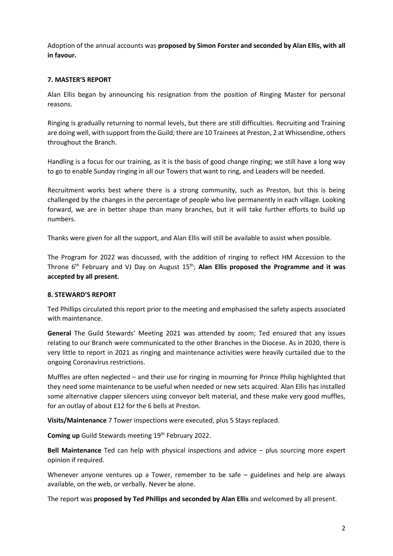Adoption of the annual accounts was **proposed by Simon Forster and seconded by Alan Ellis, with all in favour.**

# **7. MASTER'S REPORT**

Alan Ellis began by announcing his resignation from the position of Ringing Master for personal reasons.

Ringing is gradually returning to normal levels, but there are still difficulties. Recruiting and Training are doing well, with support from the Guild; there are 10 Trainees at Preston, 2 at Whissendine, others throughout the Branch.

Handling is a focus for our training, as it is the basis of good change ringing; we still have a long way to go to enable Sunday ringing in all our Towers that want to ring, and Leaders will be needed.

Recruitment works best where there is a strong community, such as Preston, but this is being challenged by the changes in the percentage of people who live permanently in each village. Looking forward, we are in better shape than many branches, but it will take further efforts to build up numbers.

Thanks were given for all the support, and Alan Ellis will still be available to assist when possible.

The Program for 2022 was discussed, with the addition of ringing to reflect HM Accession to the Throne 6<sup>th</sup> February and VJ Day on August 15<sup>th</sup>; Alan Ellis proposed the Programme and it was **accepted by all present**.

## **8. STEWARD'S REPORT**

Ted Phillips circulated this report prior to the meeting and emphasised the safety aspects associated with maintenance.

**General** The Guild Stewards' Meeting 2021 was attended by zoom; Ted ensured that any issues relating to our Branch were communicated to the other Branches in the Diocese. As in 2020, there is very little to report in 2021 as ringing and maintenance activities were heavily curtailed due to the ongoing Coronavirus restrictions.

Muffles are often neglected – and their use for ringing in mourning for Prince Philip highlighted that they need some maintenance to be useful when needed or new sets acquired. Alan Ellis has installed some alternative clapper silencers using conveyor belt material, and these make very good muffles, for an outlay of about £12 for the 6 bells at Preston.

**Visits/Maintenance** 7 Tower inspections were executed, plus 5 Stays replaced.

**Coming up** Guild Stewards meeting 19<sup>th</sup> February 2022.

**Bell Maintenance** Ted can help with physical inspections and advice – plus sourcing more expert opinion if required.

Whenever anyone ventures up a Tower, remember to be safe – guidelines and help are always available, on the web, or verbally. Never be alone.

The report was **proposed by Ted Phillips and seconded by Alan Ellis** and welcomed by all present.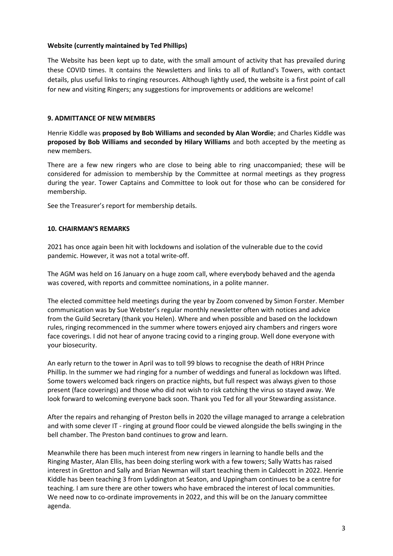# **Website (currently maintained by Ted Phillips)**

The Website has been kept up to date, with the small amount of activity that has prevailed during these COVID times. It contains the Newsletters and links to all of Rutland's Towers, with contact details, plus useful links to ringing resources. Although lightly used, the website is a first point of call for new and visiting Ringers; any suggestions for improvements or additions are welcome!

# **9. ADMITTANCE OF NEW MEMBERS**

Henrie Kiddle was **proposed by Bob Williams and seconded by Alan Wordie**; and Charles Kiddle was **proposed by Bob Williams and seconded by Hilary Williams** and both accepted by the meeting as new members.

There are a few new ringers who are close to being able to ring unaccompanied; these will be considered for admission to membership by the Committee at normal meetings as they progress during the year. Tower Captains and Committee to look out for those who can be considered for membership.

See the Treasurer's report for membership details.

# **10. CHAIRMAN'S REMARKS**

2021 has once again been hit with lockdowns and isolation of the vulnerable due to the covid pandemic. However, it was not a total write-off.

The AGM was held on 16 January on a huge zoom call, where everybody behaved and the agenda was covered, with reports and committee nominations, in a polite manner.

The elected committee held meetings during the year by Zoom convened by Simon Forster. Member communication was by Sue Webster's regular monthly newsletter often with notices and advice from the Guild Secretary (thank you Helen). Where and when possible and based on the lockdown rules, ringing recommenced in the summer where towers enjoyed airy chambers and ringers wore face coverings. I did not hear of anyone tracing covid to a ringing group. Well done everyone with your biosecurity.

An early return to the tower in April was to toll 99 blows to recognise the death of HRH Prince Phillip. In the summer we had ringing for a number of weddings and funeral as lockdown was lifted. Some towers welcomed back ringers on practice nights, but full respect was always given to those present (face coverings) and those who did not wish to risk catching the virus so stayed away. We look forward to welcoming everyone back soon. Thank you Ted for all your Stewarding assistance.

After the repairs and rehanging of Preston bells in 2020 the village managed to arrange a celebration and with some clever IT - ringing at ground floor could be viewed alongside the bells swinging in the bell chamber. The Preston band continues to grow and learn.

Meanwhile there has been much interest from new ringers in learning to handle bells and the Ringing Master, Alan Ellis, has been doing sterling work with a few towers; Sally Watts has raised interest in Gretton and Sally and Brian Newman will start teaching them in Caldecott in 2022. Henrie Kiddle has been teaching 3 from Lyddington at Seaton, and Uppingham continues to be a centre for teaching. I am sure there are other towers who have embraced the interest of local communities. We need now to co-ordinate improvements in 2022, and this will be on the January committee agenda.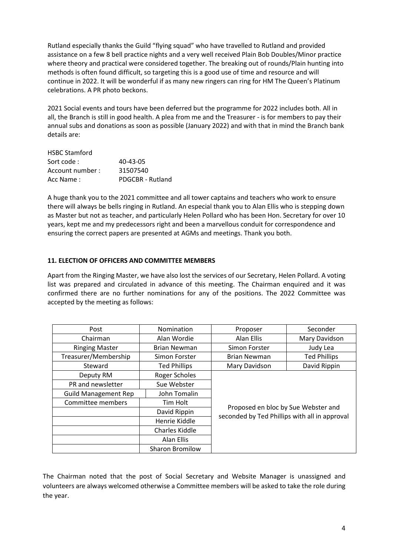Rutland especially thanks the Guild "flying squad" who have travelled to Rutland and provided assistance on a few 8 bell practice nights and a very well received Plain Bob Doubles/Minor practice where theory and practical were considered together. The breaking out of rounds/Plain hunting into methods is often found difficult, so targeting this is a good use of time and resource and will continue in 2022. It will be wonderful if as many new ringers can ring for HM The Queen's Platinum celebrations. A PR photo beckons.

2021 Social events and tours have been deferred but the programme for 2022 includes both. All in all, the Branch is still in good health. A plea from me and the Treasurer - is for members to pay their annual subs and donations as soon as possible (January 2022) and with that in mind the Branch bank details are:

| <b>HSBC Stamford</b> |                         |
|----------------------|-------------------------|
| Sort code :          | 40-43-05                |
| Account number:      | 31507540                |
| Acc Name:            | <b>PDGCBR - Rutland</b> |

A huge thank you to the 2021 committee and all tower captains and teachers who work to ensure there will always be bells ringing in Rutland. An especial thank you to Alan Ellis who is stepping down as Master but not as teacher, and particularly Helen Pollard who has been Hon. Secretary for over 10 years, kept me and my predecessors right and been a marvellous conduit for correspondence and ensuring the correct papers are presented at AGMs and meetings. Thank you both.

# **11. ELECTION OF OFFICERS AND COMMITTEE MEMBERS**

Apart from the Ringing Master, we have also lost the services of our Secretary, Helen Pollard. A voting list was prepared and circulated in advance of this meeting. The Chairman enquired and it was confirmed there are no further nominations for any of the positions. The 2022 Committee was accepted by the meeting as follows:

| Post                        | Nomination             | Proposer                                                                             | Seconder            |
|-----------------------------|------------------------|--------------------------------------------------------------------------------------|---------------------|
| Chairman                    | Alan Wordie            | Alan Ellis                                                                           | Mary Davidson       |
| <b>Ringing Master</b>       | <b>Brian Newman</b>    | Simon Forster                                                                        | Judy Lea            |
| Treasurer/Membership        | Simon Forster          | <b>Brian Newman</b>                                                                  | <b>Ted Phillips</b> |
| Steward                     | <b>Ted Phillips</b>    | Mary Davidson                                                                        | David Rippin        |
| Deputy RM                   | Roger Scholes          | Proposed en bloc by Sue Webster and<br>seconded by Ted Phillips with all in approval |                     |
| PR and newsletter           | Sue Webster            |                                                                                      |                     |
| <b>Guild Management Rep</b> | John Tomalin           |                                                                                      |                     |
| Committee members           | Tim Holt               |                                                                                      |                     |
|                             | David Rippin           |                                                                                      |                     |
|                             | Henrie Kiddle          |                                                                                      |                     |
|                             | Charles Kiddle         |                                                                                      |                     |
|                             | Alan Ellis             |                                                                                      |                     |
|                             | <b>Sharon Bromilow</b> |                                                                                      |                     |

The Chairman noted that the post of Social Secretary and Website Manager is unassigned and volunteers are always welcomed otherwise a Committee members will be asked to take the role during the year.